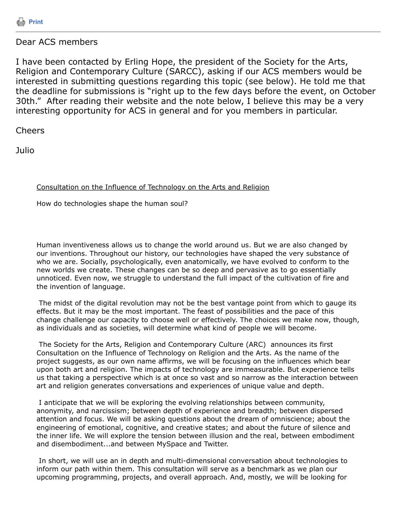

## Dear ACS members

I have been contacted by Erling Hope, the president of the Society for the Arts, Religion and Contemporary Culture (SARCC), asking if our ACS members would be interested in submitting questions regarding this topic (see below). He told me that the deadline for submissions is "right up to the few days before the event, on October 30th." After reading their website and the note below, I believe this may be a very interesting opportunity for ACS in general and for you members in particular.

Cheers

Julio

## Consultation on the Influence of Technology on the Arts and Religion

How do technologies shape the human soul?

Human inventiveness allows us to change the world around us. But we are also changed by our inventions. Throughout our history, our technologies have shaped the very substance of who we are. Socially, psychologically, even anatomically, we have evolved to conform to the new worlds we create. These changes can be so deep and pervasive as to go essentially unnoticed. Even now, we struggle to understand the full impact of the cultivation of fire and the invention of language.

 The midst of the digital revolution may not be the best vantage point from which to gauge its effects. But it may be the most important. The feast of possibilities and the pace of this change challenge our capacity to choose well or effectively. The choices we make now, though, as individuals and as societies, will determine what kind of people we will become.

 The Society for the Arts, Religion and Contemporary Culture (ARC) announces its first Consultation on the Influence of Technology on Religion and the Arts. As the name of the project suggests, as our own name affirms, we will be focusing on the influences which bear upon both art and religion. The impacts of technology are immeasurable. But experience tells us that taking a perspective which is at once so vast and so narrow as the interaction between art and religion generates conversations and experiences of unique value and depth.

 I anticipate that we will be exploring the evolving relationships between community, anonymity, and narcissism; between depth of experience and breadth; between dispersed attention and focus. We will be asking questions about the dream of omniscience; about the engineering of emotional, cognitive, and creative states; and about the future of silence and the inner life. We will explore the tension between illusion and the real, between embodiment and disembodiment...and between MySpace and Twitter.

 In short, we will use an in depth and multi-dimensional conversation about technologies to inform our path within them. This consultation will serve as a benchmark as we plan our upcoming programming, projects, and overall approach. And, mostly, we will be looking for